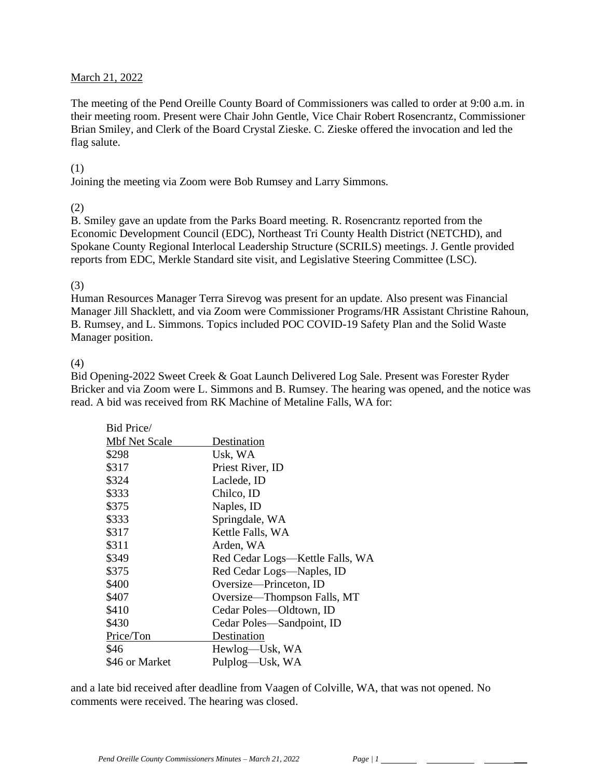#### March 21, 2022

The meeting of the Pend Oreille County Board of Commissioners was called to order at 9:00 a.m. in their meeting room. Present were Chair John Gentle, Vice Chair Robert Rosencrantz, Commissioner Brian Smiley, and Clerk of the Board Crystal Zieske. C. Zieske offered the invocation and led the flag salute.

#### (1)

Joining the meeting via Zoom were Bob Rumsey and Larry Simmons.

#### (2)

B. Smiley gave an update from the Parks Board meeting. R. Rosencrantz reported from the Economic Development Council (EDC), Northeast Tri County Health District (NETCHD), and Spokane County Regional Interlocal Leadership Structure (SCRILS) meetings. J. Gentle provided reports from EDC, Merkle Standard site visit, and Legislative Steering Committee (LSC).

#### (3)

Human Resources Manager Terra Sirevog was present for an update. Also present was Financial Manager Jill Shacklett, and via Zoom were Commissioner Programs/HR Assistant Christine Rahoun, B. Rumsey, and L. Simmons. Topics included POC COVID-19 Safety Plan and the Solid Waste Manager position.

#### (4)

Bid Opening-2022 Sweet Creek & Goat Launch Delivered Log Sale. Present was Forester Ryder Bricker and via Zoom were L. Simmons and B. Rumsey. The hearing was opened, and the notice was read. A bid was received from RK Machine of Metaline Falls, WA for:

| Bid Price/           |                                 |
|----------------------|---------------------------------|
| <b>Mbf Net Scale</b> | Destination                     |
| \$298                | Usk, WA                         |
| \$317                | Priest River, ID                |
| \$324                | Laclede, ID                     |
| \$333                | Chilco, ID                      |
| \$375                | Naples, ID                      |
| \$333                | Springdale, WA                  |
| \$317                | Kettle Falls, WA                |
| \$311                | Arden, WA                       |
| \$349                | Red Cedar Logs—Kettle Falls, WA |
| \$375                | Red Cedar Logs-Naples, ID       |
| \$400                | Oversize—Princeton, ID          |
| \$407                | Oversize—Thompson Falls, MT     |
| \$410                | Cedar Poles—Oldtown, ID         |
| \$430                | Cedar Poles—Sandpoint, ID       |
| Price/Ton            | Destination                     |
| \$46                 | Hewlog—Usk, WA                  |
| \$46 or Market       | Pulplog—Usk, WA                 |

and a late bid received after deadline from Vaagen of Colville, WA, that was not opened. No comments were received. The hearing was closed.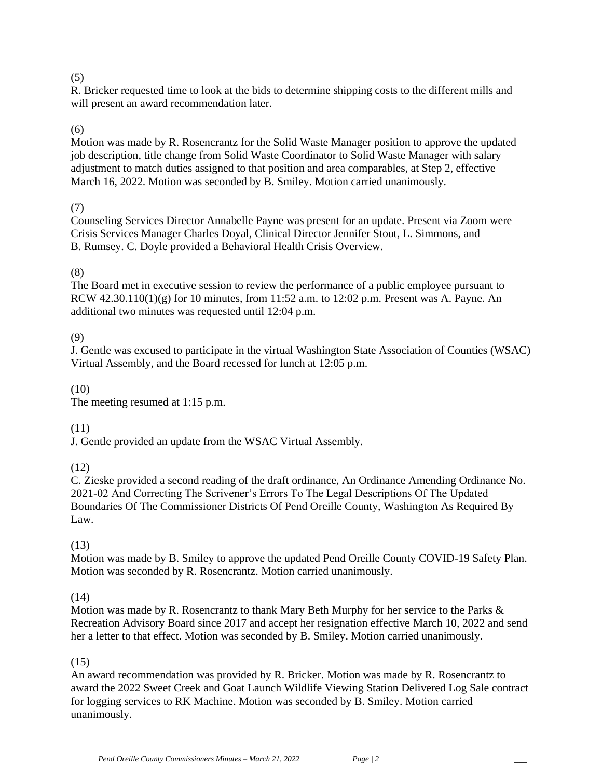## (5)

R. Bricker requested time to look at the bids to determine shipping costs to the different mills and will present an award recommendation later.

## (6)

Motion was made by R. Rosencrantz for the Solid Waste Manager position to approve the updated job description, title change from Solid Waste Coordinator to Solid Waste Manager with salary adjustment to match duties assigned to that position and area comparables, at Step 2, effective March 16, 2022. Motion was seconded by B. Smiley. Motion carried unanimously.

#### (7)

Counseling Services Director Annabelle Payne was present for an update. Present via Zoom were Crisis Services Manager Charles Doyal, Clinical Director Jennifer Stout, L. Simmons, and B. Rumsey. C. Doyle provided a Behavioral Health Crisis Overview.

## (8)

The Board met in executive session to review the performance of a public employee pursuant to RCW  $42.30.110(1)(g)$  for 10 minutes, from 11:52 a.m. to 12:02 p.m. Present was A. Payne. An additional two minutes was requested until 12:04 p.m.

#### (9)

J. Gentle was excused to participate in the virtual Washington State Association of Counties (WSAC) Virtual Assembly, and the Board recessed for lunch at 12:05 p.m.

#### (10)

The meeting resumed at 1:15 p.m.

## (11)

J. Gentle provided an update from the WSAC Virtual Assembly.

## (12)

C. Zieske provided a second reading of the draft ordinance, An Ordinance Amending Ordinance No. 2021-02 And Correcting The Scrivener's Errors To The Legal Descriptions Of The Updated Boundaries Of The Commissioner Districts Of Pend Oreille County, Washington As Required By Law.

## (13)

Motion was made by B. Smiley to approve the updated Pend Oreille County COVID-19 Safety Plan. Motion was seconded by R. Rosencrantz. Motion carried unanimously.

## (14)

Motion was made by R. Rosencrantz to thank Mary Beth Murphy for her service to the Parks & Recreation Advisory Board since 2017 and accept her resignation effective March 10, 2022 and send her a letter to that effect. Motion was seconded by B. Smiley. Motion carried unanimously.

## (15)

An award recommendation was provided by R. Bricker. Motion was made by R. Rosencrantz to award the 2022 Sweet Creek and Goat Launch Wildlife Viewing Station Delivered Log Sale contract for logging services to RK Machine. Motion was seconded by B. Smiley. Motion carried unanimously.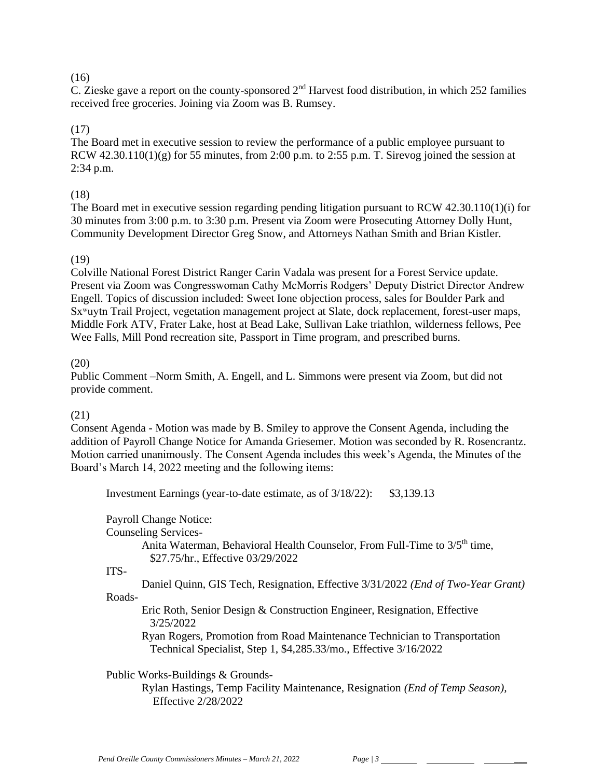## $(16)$

C. Zieske gave a report on the county-sponsored  $2<sup>nd</sup>$  Harvest food distribution, in which 252 families received free groceries. Joining via Zoom was B. Rumsey.

## (17)

The Board met in executive session to review the performance of a public employee pursuant to RCW  $42.30.110(1)(g)$  for 55 minutes, from 2:00 p.m. to 2:55 p.m. T. Sirevog joined the session at 2:34 p.m.

## (18)

The Board met in executive session regarding pending litigation pursuant to RCW 42.30.110(1)(i) for 30 minutes from 3:00 p.m. to 3:30 p.m. Present via Zoom were Prosecuting Attorney Dolly Hunt, Community Development Director Greg Snow, and Attorneys Nathan Smith and Brian Kistler.

## (19)

Colville National Forest District Ranger Carin Vadala was present for a Forest Service update. Present via Zoom was Congresswoman Cathy McMorris Rodgers' Deputy District Director Andrew Engell. Topics of discussion included: Sweet Ione objection process, sales for Boulder Park and Sxʷuytn Trail Project, vegetation management project at Slate, dock replacement, forest-user maps, Middle Fork ATV, Frater Lake, host at Bead Lake, Sullivan Lake triathlon, wilderness fellows, Pee Wee Falls, Mill Pond recreation site, Passport in Time program, and prescribed burns.

## (20)

Public Comment –Norm Smith, A. Engell, and L. Simmons were present via Zoom, but did not provide comment.

## (21)

Consent Agenda - Motion was made by B. Smiley to approve the Consent Agenda, including the addition of Payroll Change Notice for Amanda Griesemer. Motion was seconded by R. Rosencrantz. Motion carried unanimously. The Consent Agenda includes this week's Agenda, the Minutes of the Board's March 14, 2022 meeting and the following items:

Investment Earnings (year-to-date estimate, as of 3/18/22): \$3,139.13

Payroll Change Notice:

Counseling Services-

Anita Waterman, Behavioral Health Counselor, From Full-Time to  $3/5<sup>th</sup>$  time, \$27.75/hr., Effective 03/29/2022

#### ITS-

Daniel Quinn, GIS Tech, Resignation, Effective 3/31/2022 *(End of Two-Year Grant)*

## Roads-

Eric Roth, Senior Design & Construction Engineer, Resignation, Effective 3/25/2022

Ryan Rogers, Promotion from Road Maintenance Technician to Transportation Technical Specialist, Step 1, \$4,285.33/mo., Effective 3/16/2022

Public Works-Buildings & Grounds-

Rylan Hastings, Temp Facility Maintenance, Resignation *(End of Temp Season),* Effective 2/28/2022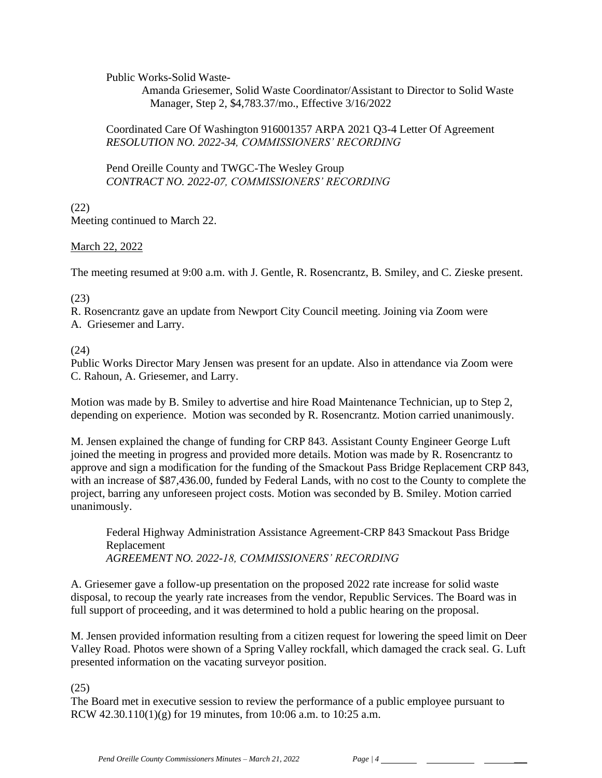Public Works-Solid Waste-

Amanda Griesemer, Solid Waste Coordinator/Assistant to Director to Solid Waste Manager, Step 2, \$4,783.37/mo., Effective 3/16/2022

#### Coordinated Care Of Washington 916001357 ARPA 2021 Q3-4 Letter Of Agreement *RESOLUTION NO. 2022-34, COMMISSIONERS' RECORDING*

Pend Oreille County and TWGC-The Wesley Group *CONTRACT NO. 2022-07, COMMISSIONERS' RECORDING* 

(22)

Meeting continued to March 22.

March 22, 2022

The meeting resumed at 9:00 a.m. with J. Gentle, R. Rosencrantz, B. Smiley, and C. Zieske present.

(23)

R. Rosencrantz gave an update from Newport City Council meeting. Joining via Zoom were A. Griesemer and Larry.

(24)

Public Works Director Mary Jensen was present for an update. Also in attendance via Zoom were C. Rahoun, A. Griesemer, and Larry.

Motion was made by B. Smiley to advertise and hire Road Maintenance Technician, up to Step 2, depending on experience. Motion was seconded by R. Rosencrantz. Motion carried unanimously.

M. Jensen explained the change of funding for CRP 843. Assistant County Engineer George Luft joined the meeting in progress and provided more details. Motion was made by R. Rosencrantz to approve and sign a modification for the funding of the Smackout Pass Bridge Replacement CRP 843, with an increase of \$87,436.00, funded by Federal Lands, with no cost to the County to complete the project, barring any unforeseen project costs. Motion was seconded by B. Smiley. Motion carried unanimously.

Federal Highway Administration Assistance Agreement-CRP 843 Smackout Pass Bridge Replacement *AGREEMENT NO. 2022-18, COMMISSIONERS' RECORDING*

A. Griesemer gave a follow-up presentation on the proposed 2022 rate increase for solid waste disposal, to recoup the yearly rate increases from the vendor, Republic Services. The Board was in full support of proceeding, and it was determined to hold a public hearing on the proposal.

M. Jensen provided information resulting from a citizen request for lowering the speed limit on Deer Valley Road. Photos were shown of a Spring Valley rockfall, which damaged the crack seal. G. Luft presented information on the vacating surveyor position.

(25)

The Board met in executive session to review the performance of a public employee pursuant to RCW 42.30.110(1)(g) for 19 minutes, from 10:06 a.m. to 10:25 a.m.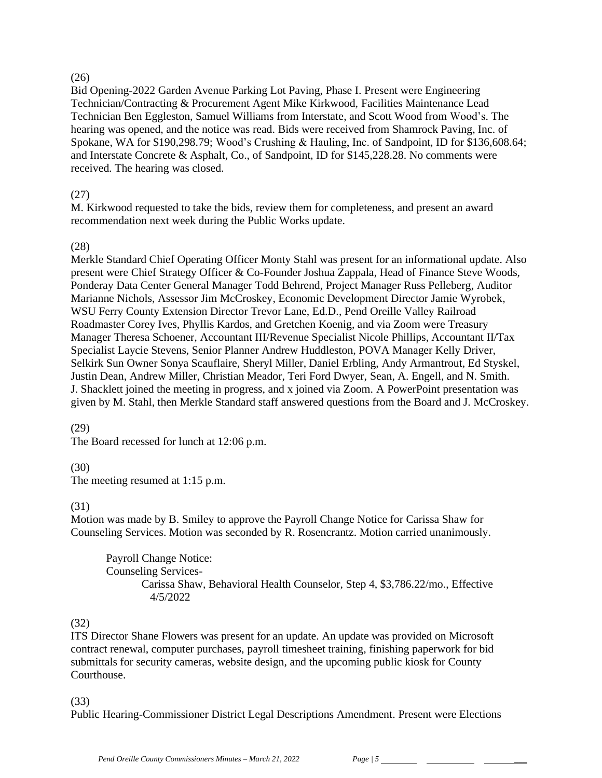## $(26)$

Bid Opening-2022 Garden Avenue Parking Lot Paving, Phase I. Present were Engineering Technician/Contracting & Procurement Agent Mike Kirkwood, Facilities Maintenance Lead Technician Ben Eggleston, Samuel Williams from Interstate, and Scott Wood from Wood's. The hearing was opened, and the notice was read. Bids were received from Shamrock Paving, Inc. of Spokane, WA for \$190,298.79; Wood's Crushing & Hauling, Inc. of Sandpoint, ID for \$136,608.64; and Interstate Concrete & Asphalt, Co., of Sandpoint, ID for \$145,228.28. No comments were received. The hearing was closed.

# (27)

M. Kirkwood requested to take the bids, review them for completeness, and present an award recommendation next week during the Public Works update.

# (28)

Merkle Standard Chief Operating Officer Monty Stahl was present for an informational update. Also present were Chief Strategy Officer & Co-Founder Joshua Zappala, Head of Finance Steve Woods, Ponderay Data Center General Manager Todd Behrend, Project Manager Russ Pelleberg, Auditor Marianne Nichols, Assessor Jim McCroskey, Economic Development Director Jamie Wyrobek, WSU Ferry County Extension Director Trevor Lane, Ed.D., Pend Oreille Valley Railroad Roadmaster Corey Ives, Phyllis Kardos, and Gretchen Koenig, and via Zoom were Treasury Manager Theresa Schoener, Accountant III/Revenue Specialist Nicole Phillips, Accountant II/Tax Specialist Laycie Stevens, Senior Planner Andrew Huddleston, POVA Manager Kelly Driver, Selkirk Sun Owner Sonya Scauflaire, Sheryl Miller, Daniel Erbling, Andy Armantrout, Ed Styskel, Justin Dean, Andrew Miller, Christian Meador, Teri Ford Dwyer, Sean, A. Engell, and N. Smith. J. Shacklett joined the meeting in progress, and x joined via Zoom. A PowerPoint presentation was given by M. Stahl, then Merkle Standard staff answered questions from the Board and J. McCroskey.

# (29)

The Board recessed for lunch at 12:06 p.m.

# (30)

The meeting resumed at 1:15 p.m.

# (31)

Motion was made by B. Smiley to approve the Payroll Change Notice for Carissa Shaw for Counseling Services. Motion was seconded by R. Rosencrantz. Motion carried unanimously.

Payroll Change Notice: Counseling Services-Carissa Shaw, Behavioral Health Counselor, Step 4, \$3,786.22/mo., Effective 4/5/2022

## (32)

ITS Director Shane Flowers was present for an update. An update was provided on Microsoft contract renewal, computer purchases, payroll timesheet training, finishing paperwork for bid submittals for security cameras, website design, and the upcoming public kiosk for County Courthouse.

## (33)

Public Hearing-Commissioner District Legal Descriptions Amendment. Present were Elections